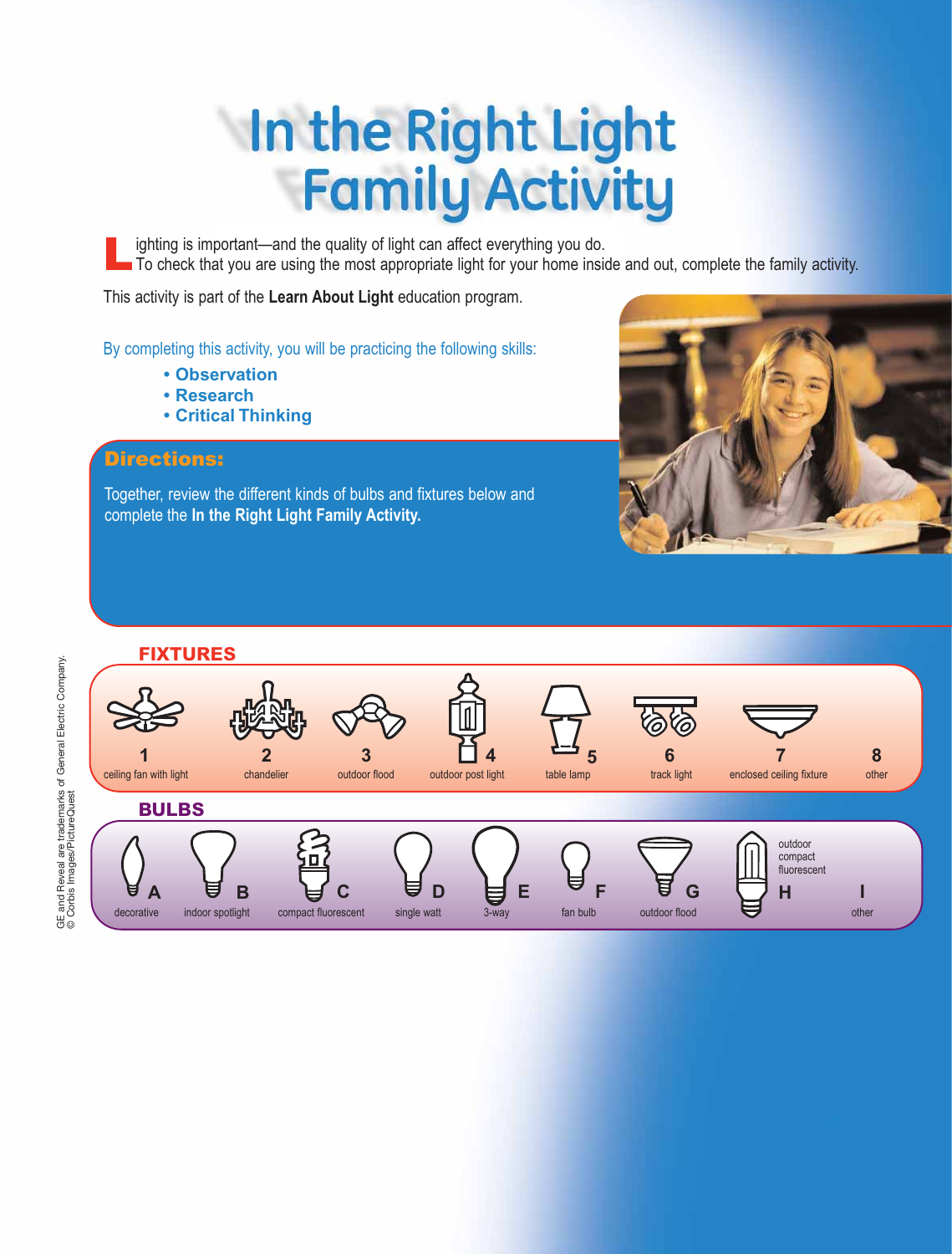# In the Right Light **Family Activity**

Lighting is important—and the quality of light can affect everything you do.<br>To check that you are using the most appropriate light for your home inside and out, complete the family activity.

This activity is part of the **Learn About Light** education program.

By completing this activity, you will be practicing the following skills:

- **Observation**
- **Research**
- **Critical Thinking**

#### Directions:

Together, review the different kinds of bulbs and fixtures below and complete the **In the Right Light Family Activity.**





GE and Reveal are trademarks of General Electric Company.<br>© Corbis Images/PictureQuest GE and Reveal are trademarks of General Electric Company. © Corbis Images/PictureQuest